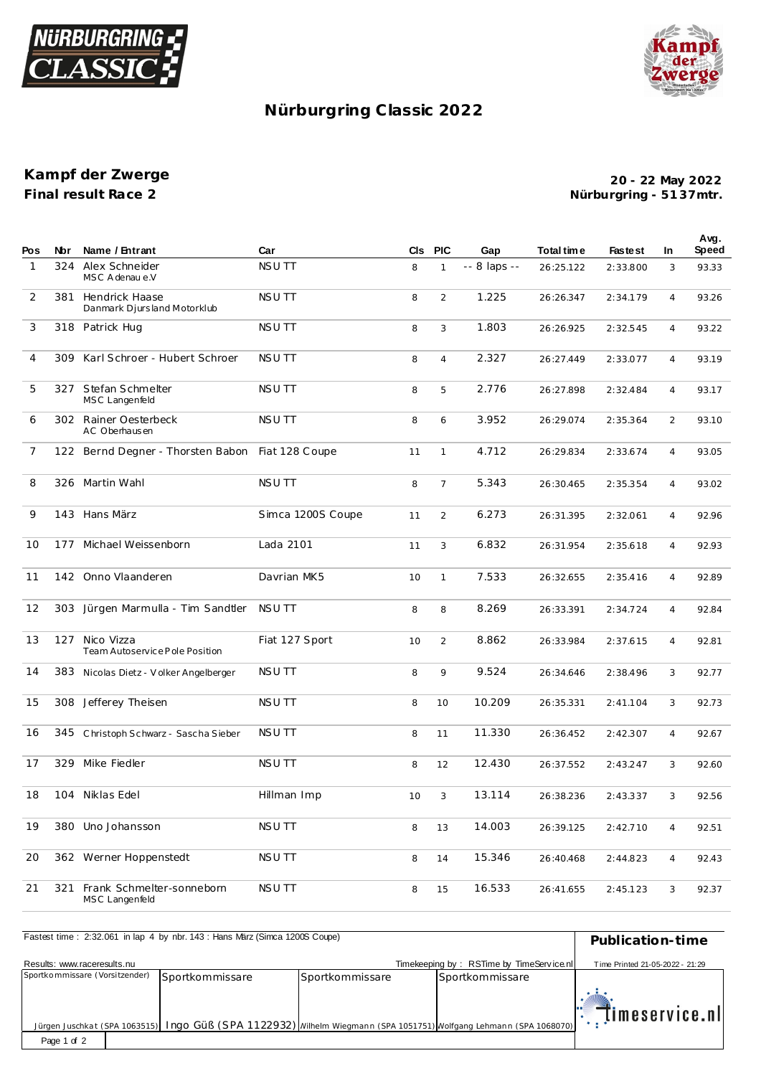



## Nürburgring Classic 2022

Kampf der Zwerge Final result Race 2

20 - 22 May 2022 Nürburgring - 5137mtr.

| Pos            | Nbr | Name / Entrant                                   | Car               | CIS | <b>PIC</b>     | Gap          | Total time | <b>Fastest</b> | <b>In</b>      | Avg.<br>Speed |
|----------------|-----|--------------------------------------------------|-------------------|-----|----------------|--------------|------------|----------------|----------------|---------------|
| $\mathbf{1}$   | 324 | Alex Schneider<br>MSC A denau e.V                | <b>NSUTT</b>      | 8   | $\mathbf{1}$   | -- 8 laps -- | 26:25.122  | 2:33.800       | 3              | 93.33         |
| 2              | 381 | Hendrick Haase<br>Danmark Djursland Motorklub    | <b>NSUTT</b>      | 8   | 2              | 1.225        | 26:26.347  | 2:34.179       | $\overline{4}$ | 93.26         |
| 3              |     | 318 Patrick Hug                                  | <b>NSUTT</b>      | 8   | 3              | 1.803        | 26:26.925  | 2:32.545       | $\overline{4}$ | 93.22         |
| $\overline{4}$ | 309 | Karl Schroer - Hubert Schroer                    | <b>NSUTT</b>      | 8   | $\overline{4}$ | 2.327        | 26:27.449  | 2:33.077       | $\overline{4}$ | 93.19         |
| 5              |     | 327 Stefan Schmelter<br>MSC Langenfeld           | <b>NSUTT</b>      | 8   | 5              | 2.776        | 26:27.898  | 2:32.484       | $\overline{4}$ | 93.17         |
| 6              |     | 302 Rainer Oesterbeck<br>AC Oberhausen           | <b>NSUTT</b>      | 8   | 6              | 3.952        | 26:29.074  | 2:35.364       | $\overline{2}$ | 93.10         |
| $\overline{7}$ |     | 122 Bernd Degner - Thorsten Babon                | Fiat 128 Coupe    | 11  | $\mathbf{1}$   | 4.712        | 26:29.834  | 2:33.674       | $\overline{4}$ | 93.05         |
| 8              |     | 326 Martin Wahl                                  | <b>NSUTT</b>      | 8   | $\overline{7}$ | 5.343        | 26:30.465  | 2:35.354       | $\overline{4}$ | 93.02         |
| 9              |     | 143 Hans März                                    | Simca 1200S Coupe | 11  | 2              | 6.273        | 26:31.395  | 2:32.061       | $\overline{4}$ | 92.96         |
| 10             | 177 | Michael Weissenborn                              | Lada 2101         | 11  | 3              | 6.832        | 26:31.954  | 2:35.618       | $\overline{4}$ | 92.93         |
| 11             |     | 142 Onno Vlaanderen                              | Davrian MK5       | 10  | $\mathbf{1}$   | 7.533        | 26:32.655  | 2:35.416       | $\overline{4}$ | 92.89         |
| 12             | 303 | Jürgen Marmulla - Tim Sandtler                   | NSU TT            | 8   | 8              | 8.269        | 26:33.391  | 2:34.724       | $\overline{4}$ | 92.84         |
| 13             |     | 127 Nico Vizza<br>Team Autoservice Pole Position | Fiat 127 Sport    | 10  | $\overline{2}$ | 8.862        | 26:33.984  | 2:37.615       | $\overline{4}$ | 92.81         |
| 14             | 383 | Nicolas Dietz - Volker Angelberger               | <b>NSUTT</b>      | 8   | 9              | 9.524        | 26:34.646  | 2:38.496       | 3              | 92.77         |
| 15             |     | 308 Jefferey Theisen                             | <b>NSUTT</b>      | 8   | 10             | 10.209       | 26:35.331  | 2:41.104       | 3              | 92.73         |
| 16             | 345 | Christoph Schwarz - Sascha Sieber                | <b>NSUTT</b>      | 8   | 11             | 11.330       | 26:36.452  | 2:42.307       | $\overline{4}$ | 92.67         |
| 17             | 329 | Mike Fiedler                                     | <b>NSUTT</b>      | 8   | 12             | 12.430       | 26:37.552  | 2:43.247       | 3              | 92.60         |
| 18             | 104 | Niklas Edel                                      | Hillman Imp       | 10  | 3              | 13.114       | 26:38.236  | 2:43.337       | 3              | 92.56         |
| 19             | 380 | Uno Johansson                                    | NSU TT            | 8   | 13             | 14.003       | 26:39.125  | 2:42.710       | $\overline{4}$ | 92.51         |
| 20             |     | 362 Werner Hoppenstedt                           | <b>NSUTT</b>      | 8   | 14             | 15.346       | 26:40.468  | 2:44.823       | $\overline{4}$ | 92.43         |
| 21             | 321 | Frank Schmelter-sonneborn<br>MSC Langenfeld      | <b>NSUTT</b>      | 8   | 15             | 16.533       | 26:41.655  | 2:45.123       | 3              | 92.37         |

| Fastest time: 2:32.061 in lap 4 by nbr. 143: Hans März (Simca 1200S Coupe) | Publication-time                                                                                                   |                 |                                          |                                         |
|----------------------------------------------------------------------------|--------------------------------------------------------------------------------------------------------------------|-----------------|------------------------------------------|-----------------------------------------|
| Results: www.raceresults.nu                                                |                                                                                                                    |                 | Timekeeping by: RSTime by TimeService.nl | Time Printed 21-05-2022 - 21:29         |
| Sportkommissare (Vorsitzender)                                             | Sportkommissare                                                                                                    | Sportkommissare | Sportkommissare                          |                                         |
|                                                                            | Jürgen Juschkat (SPA 1063515) Ingo Güß (SPA 1122932) Wilhelm Wiegmann (SPA 1051751) Wolfgang Lehmann (SPA 1068070) |                 |                                          | $\mathbb{R}$ $\mathbb{H}$ imeservice.nl |
| Page 1 of 2                                                                |                                                                                                                    |                 |                                          |                                         |